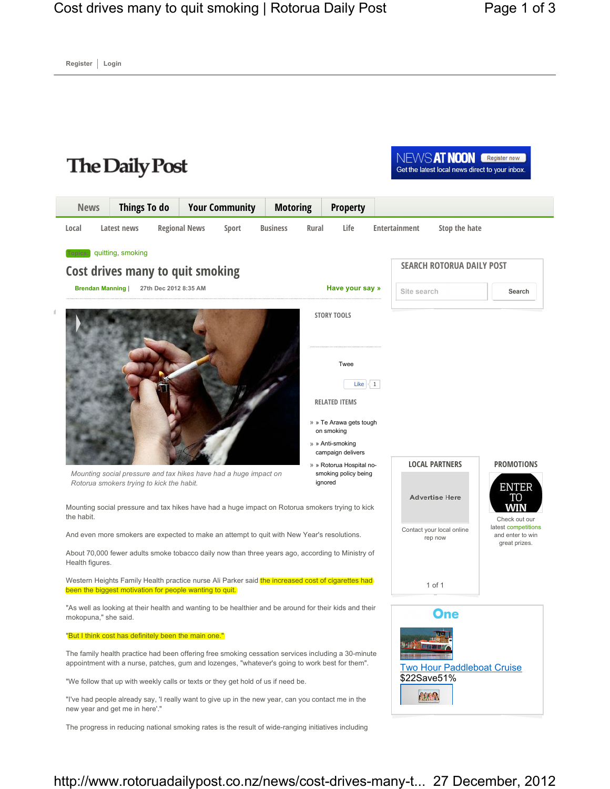**Register Login**



### http://www.rotoruadailypost.co.nz/news/cost-drives-many-t... 27 December, 2012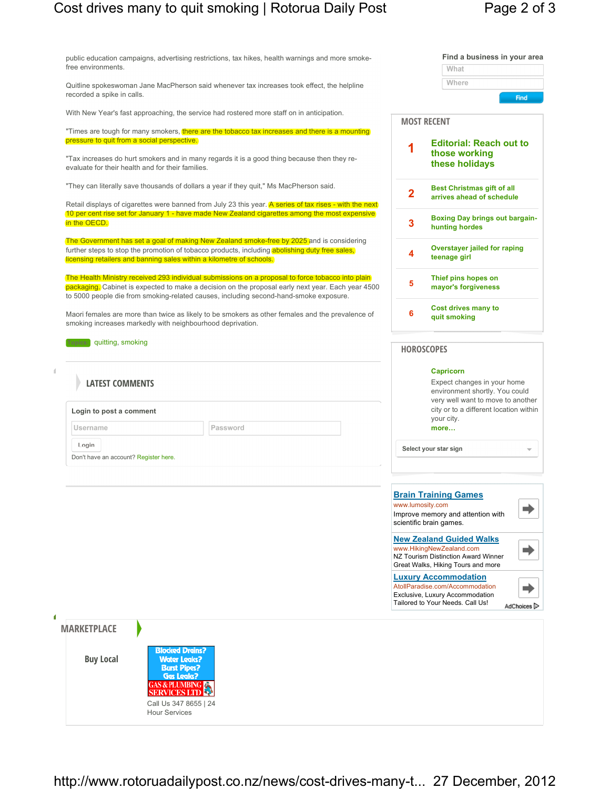# Cost drives many to quit smoking | Rotorua Daily Post Fage 2 of 3

|                                                                                                                                                                                                                                                                                                   |                                                                                                                                               | public education campaigns, advertising restrictions, tax hikes, health warnings and more smoke-                                                                                                                                                                                                |  |                                                                                                                 | Find a business in your area                                                                                 |                          |
|---------------------------------------------------------------------------------------------------------------------------------------------------------------------------------------------------------------------------------------------------------------------------------------------------|-----------------------------------------------------------------------------------------------------------------------------------------------|-------------------------------------------------------------------------------------------------------------------------------------------------------------------------------------------------------------------------------------------------------------------------------------------------|--|-----------------------------------------------------------------------------------------------------------------|--------------------------------------------------------------------------------------------------------------|--------------------------|
| free environments.                                                                                                                                                                                                                                                                                |                                                                                                                                               |                                                                                                                                                                                                                                                                                                 |  |                                                                                                                 | What                                                                                                         |                          |
| Quitline spokeswoman Jane MacPherson said whenever tax increases took effect, the helpline<br>recorded a spike in calls.                                                                                                                                                                          |                                                                                                                                               |                                                                                                                                                                                                                                                                                                 |  |                                                                                                                 | Where                                                                                                        | Find                     |
|                                                                                                                                                                                                                                                                                                   |                                                                                                                                               | With New Year's fast approaching, the service had rostered more staff on in anticipation.                                                                                                                                                                                                       |  |                                                                                                                 |                                                                                                              |                          |
|                                                                                                                                                                                                                                                                                                   |                                                                                                                                               |                                                                                                                                                                                                                                                                                                 |  | <b>MOST RECENT</b>                                                                                              |                                                                                                              |                          |
| "Times are tough for many smokers, there are the tobacco tax increases and there is a mounting<br>pressure to quit from a social perspective.<br>"Tax increases do hurt smokers and in many regards it is a good thing because then they re-<br>evaluate for their health and for their families. |                                                                                                                                               |                                                                                                                                                                                                                                                                                                 |  | <b>Editorial: Reach out to</b><br>those working<br>these holidays                                               |                                                                                                              |                          |
| "They can literally save thousands of dollars a year if they quit," Ms MacPherson said.                                                                                                                                                                                                           |                                                                                                                                               |                                                                                                                                                                                                                                                                                                 |  | <b>Best Christmas gift of all</b><br>$\overline{2}$<br>arrives ahead of schedule                                |                                                                                                              |                          |
| Retail displays of cigarettes were banned from July 23 this year. A series of tax rises - with the next<br>10 per cent rise set for January 1 - have made New Zealand cigarettes among the most expensive<br>in the OECD.                                                                         |                                                                                                                                               |                                                                                                                                                                                                                                                                                                 |  | Boxing Day brings out bargain-<br>3                                                                             |                                                                                                              |                          |
|                                                                                                                                                                                                                                                                                                   |                                                                                                                                               |                                                                                                                                                                                                                                                                                                 |  |                                                                                                                 | hunting hordes                                                                                               |                          |
| The Government has set a goal of making New Zealand smoke-free by 2025 and is considering<br>further steps to stop the promotion of tobacco products, including abolishing duty free sales,<br>licensing retailers and banning sales within a kilometre of schools.                               |                                                                                                                                               |                                                                                                                                                                                                                                                                                                 |  | Overstayer jailed for raping<br>4<br>teenage girl                                                               |                                                                                                              |                          |
|                                                                                                                                                                                                                                                                                                   |                                                                                                                                               | The Health Ministry received 293 individual submissions on a proposal to force tobacco into plain<br>packaging. Cabinet is expected to make a decision on the proposal early next year. Each year 4500<br>to 5000 people die from smoking-related causes, including second-hand-smoke exposure. |  | 5                                                                                                               | Thief pins hopes on<br>mayor's forgiveness                                                                   |                          |
| Maori females are more than twice as likely to be smokers as other females and the prevalence of<br>smoking increases markedly with neighbourhood deprivation.                                                                                                                                    |                                                                                                                                               |                                                                                                                                                                                                                                                                                                 |  | 6                                                                                                               | <b>Cost drives many to</b><br>quit smoking                                                                   |                          |
| quitting, smoking                                                                                                                                                                                                                                                                                 |                                                                                                                                               |                                                                                                                                                                                                                                                                                                 |  | <b>HOROSCOPES</b>                                                                                               |                                                                                                              |                          |
| <b>LATEST COMMENTS</b>                                                                                                                                                                                                                                                                            |                                                                                                                                               |                                                                                                                                                                                                                                                                                                 |  | Capricorn<br>Expect changes in your home<br>environment shortly. You could<br>very well want to move to another |                                                                                                              |                          |
| Login to post a comment                                                                                                                                                                                                                                                                           |                                                                                                                                               |                                                                                                                                                                                                                                                                                                 |  |                                                                                                                 | city or to a different location within                                                                       |                          |
| Username                                                                                                                                                                                                                                                                                          |                                                                                                                                               | Password                                                                                                                                                                                                                                                                                        |  |                                                                                                                 | your city.<br>more                                                                                           |                          |
| Login                                                                                                                                                                                                                                                                                             |                                                                                                                                               |                                                                                                                                                                                                                                                                                                 |  | Select your star sign                                                                                           |                                                                                                              |                          |
| Don't have an account? Register here.                                                                                                                                                                                                                                                             |                                                                                                                                               |                                                                                                                                                                                                                                                                                                 |  |                                                                                                                 |                                                                                                              |                          |
|                                                                                                                                                                                                                                                                                                   |                                                                                                                                               |                                                                                                                                                                                                                                                                                                 |  |                                                                                                                 | <b>Brain Training Games</b>                                                                                  |                          |
|                                                                                                                                                                                                                                                                                                   |                                                                                                                                               |                                                                                                                                                                                                                                                                                                 |  | www.lumosity.com<br>scientific brain games.                                                                     | Improve memory and attention with                                                                            | ۰ø                       |
|                                                                                                                                                                                                                                                                                                   |                                                                                                                                               |                                                                                                                                                                                                                                                                                                 |  | www.HikingNewZealand.com                                                                                        | <b>New Zealand Guided Walks</b><br>NZ Tourism Distinction Award Winner<br>Great Walks, Hiking Tours and more | T                        |
|                                                                                                                                                                                                                                                                                                   |                                                                                                                                               |                                                                                                                                                                                                                                                                                                 |  |                                                                                                                 | <b>Luxury Accommodation</b><br>AtollParadise.com/Accommodation<br>Exclusive, Luxury Accommodation            | m,                       |
|                                                                                                                                                                                                                                                                                                   |                                                                                                                                               |                                                                                                                                                                                                                                                                                                 |  |                                                                                                                 | Tailored to Your Needs. Call Us!                                                                             | AdChoices <sup>[2]</sup> |
| <b>MARKETPLACE</b>                                                                                                                                                                                                                                                                                |                                                                                                                                               |                                                                                                                                                                                                                                                                                                 |  |                                                                                                                 |                                                                                                              |                          |
| <b>Buy Local</b>                                                                                                                                                                                                                                                                                  | <b>Blocked Drains?</b><br><b>Water Leaks?</b><br><b>Burst Pipes?</b><br><b>Gas Leaks?</b><br><b>GAS &amp; PLUMBING</b><br><b>SERVICES LTD</b> |                                                                                                                                                                                                                                                                                                 |  |                                                                                                                 |                                                                                                              |                          |
|                                                                                                                                                                                                                                                                                                   | Call Us 347 8655   24<br><b>Hour Services</b>                                                                                                 |                                                                                                                                                                                                                                                                                                 |  |                                                                                                                 |                                                                                                              |                          |

http://www.rotoruadailypost.co.nz/news/cost-drives-many-t... 27 December, 2012